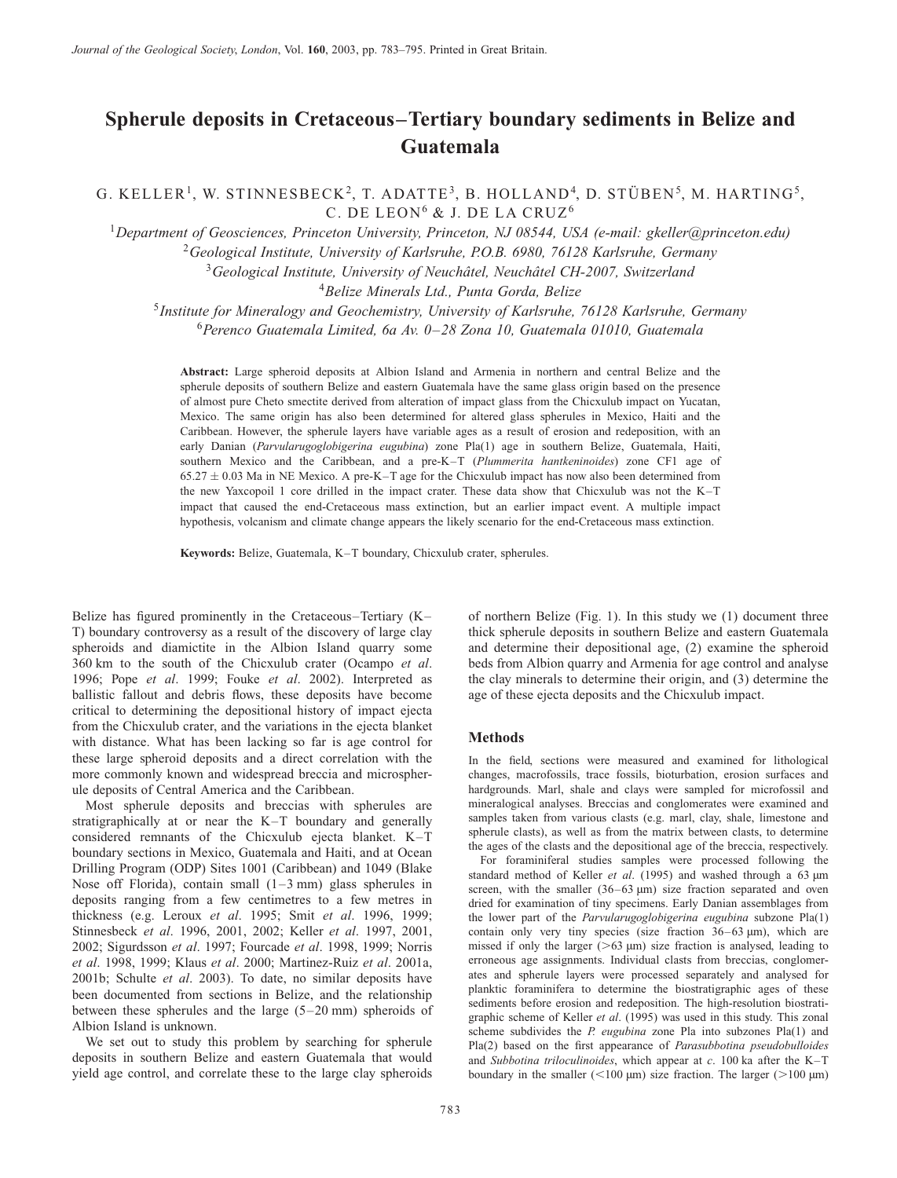# Spherule deposits in Cretaceous–Tertiary boundary sediments in Belize and Guatemala

G. KELLER<sup>1</sup>, W. STINNESBECK<sup>2</sup>, T. ADATTE<sup>3</sup>, B. HOLLAND<sup>4</sup>, D. STÜBEN<sup>5</sup>, M. HARTING<sup>5</sup>, C. DE LEON<sup>6</sup> & J. DE LA CRUZ<sup>6</sup>

<sup>1</sup>Department of Geosciences, Princeton University, Princeton, NJ 08544, USA (e-mail: gkeller@princeton.edu) <sup>2</sup>Geological Institute, University of Karlsruhe, P.O.B. 6980, 76128 Karlsruhe, Germany  $3G$ eological Institute, University of Neuchâtel, Neuchâtel CH-2007, Switzerland

<sup>4</sup> Belize Minerals Ltd., Punta Gorda, Belize

<sup>5</sup>Institute for Mineralogy and Geochemistry, University of Karlsruhe, 76128 Karlsruhe, Germany  $6$ Perenco Guatemala Limited, 6a Av. 0–28 Zona 10, Guatemala 01010, Guatemala

Abstract: Large spheroid deposits at Albion Island and Armenia in northern and central Belize and the spherule deposits of southern Belize and eastern Guatemala have the same glass origin based on the presence of almost pure Cheto smectite derived from alteration of impact glass from the Chicxulub impact on Yucatan, Mexico. The same origin has also been determined for altered glass spherules in Mexico, Haiti and the Caribbean. However, the spherule layers have variable ages as a result of erosion and redeposition, with an early Danian (Parvularugoglobigerina eugubina) zone Pla(1) age in southern Belize, Guatemala, Haiti, southern Mexico and the Caribbean, and a pre-K-T (Plummerita hantkeninoides) zone CF1 age of  $65.27 \pm 0.03$  Ma in NE Mexico. A pre-K–T age for the Chicxulub impact has now also been determined from the new Yaxcopoil 1 core drilled in the impact crater. These data show that Chicxulub was not the K–T impact that caused the end-Cretaceous mass extinction, but an earlier impact event. A multiple impact hypothesis, volcanism and climate change appears the likely scenario for the end-Cretaceous mass extinction.

Keywords: Belize, Guatemala, K–T boundary, Chicxulub crater, spherules.

Belize has figured prominently in the Cretaceous–Tertiary (K– T) boundary controversy as a result of the discovery of large clay spheroids and diamictite in the Albion Island quarry some 360 km to the south of the Chicxulub crater [\(Ocampo](#page-12-0) et al. 1996; [Pope](#page-12-0) et al. 1999; [Fouke](#page-11-0) et al. 2002). Interpreted as ballistic fallout and debris flows, these deposits have become critical to determining the depositional history of impact ejecta from the Chicxulub crater, and the variations in the ejecta blanket with distance. What has been lacking so far is age control for these large spheroid deposits and a direct correlation with the more commonly known and widespread breccia and microspherule deposits of Central America and the Caribbean.

Most spherule deposits and breccias with spherules are stratigraphically at or near the K–T boundary and generally considered remnants of the Chicxulub ejecta blanket. K–T boundary sections in Mexico, Guatemala and Haiti, and at Ocean Drilling Program (ODP) Sites 1001 (Caribbean) and 1049 (Blake Nose off Florida), contain small (1–3 mm) glass spherules in deposits ranging from a few centimetres to a few metres in thickness (e.g. [Leroux](#page-12-0) et al. 1995; [Smit](#page-12-0) et al. 1996, 1999; [Stinnesbeck](#page-12-0) et al. 1996, 2001, 2002; [Keller](#page-11-0) et al. 1997, 2001, 2002[; Sigurdsson](#page-12-0) et al. 1997[; Fourcade](#page-11-0) et al. 1998, 1999; [Norris](#page-12-0) et al. 1998, 1999[; Klaus](#page-11-0) et al. 2000[; Martinez-Ruiz](#page-12-0) et al. 2001a, 2001b; [Schulte](#page-12-0) et al. 2003). To date, no similar deposits have been documented from sections in Belize, and the relationship between these spherules and the large (5–20 mm) spheroids of Albion Island is unknown.

We set out to study this problem by searching for spherule deposits in southern Belize and eastern Guatemala that would yield age control, and correlate these to the large clay spheroids

of northern Belize (Fig. [1\).](#page-1-0) In this study we (1) document three thick spherule deposits in southern Belize and eastern Guatemala and determine their depositional age, (2) examine the spheroid beds from Albion quarry and Armenia for age control and analyse the clay minerals to determine their origin, and (3) determine the age of these ejecta deposits and the Chicxulub impact.

#### Methods

In the field, sections were measured and examined for lithological changes, macrofossils, trace fossils, bioturbation, erosion surfaces and hardgrounds. Marl, shale and clays were sampled for microfossil and mineralogical analyses. Breccias and conglomerates were examined and samples taken from various clasts (e.g. marl, clay, shale, limestone and spherule clasts), as well as from the matrix between clasts, to determine the ages of the clasts and the depositional age of the breccia, respectively.

For foraminiferal studies samples were processed following the standard method of [Keller](#page-11-0) et al. (1995) and washed through a 63  $\mu$ m screen, with the smaller  $(36-63 \mu m)$  size fraction separated and oven dried for examination of tiny specimens. Early Danian assemblages from the lower part of the Parvularugoglobigerina eugubina subzone Pla(1) contain only very tiny species (size fraction  $36-63 \text{ }\mu\text{m}$ ), which are missed if only the larger  $(>63 \mu m)$  size fraction is analysed, leading to erroneous age assignments. Individual clasts from breccias, conglomerates and spherule layers were processed separately and analysed for planktic foraminifera to determine the biostratigraphic ages of these sediments before [erosion and redep](#page-11-0)osition. The high-resolution biostratigraphic scheme of Keller et al. (1995) was used in this study. This zonal scheme subdivides the  $P$ . eugubina zone Pla into subzones Pla(1) and Pla(2) based on the first appearance of Parasubbotina pseudobulloides and Subbotina triloculinoides, which appear at  $c$ . 100 ka after the K–T boundary in the smaller  $(<100 \text{ µm})$  size fraction. The larger  $(>100 \text{ µm})$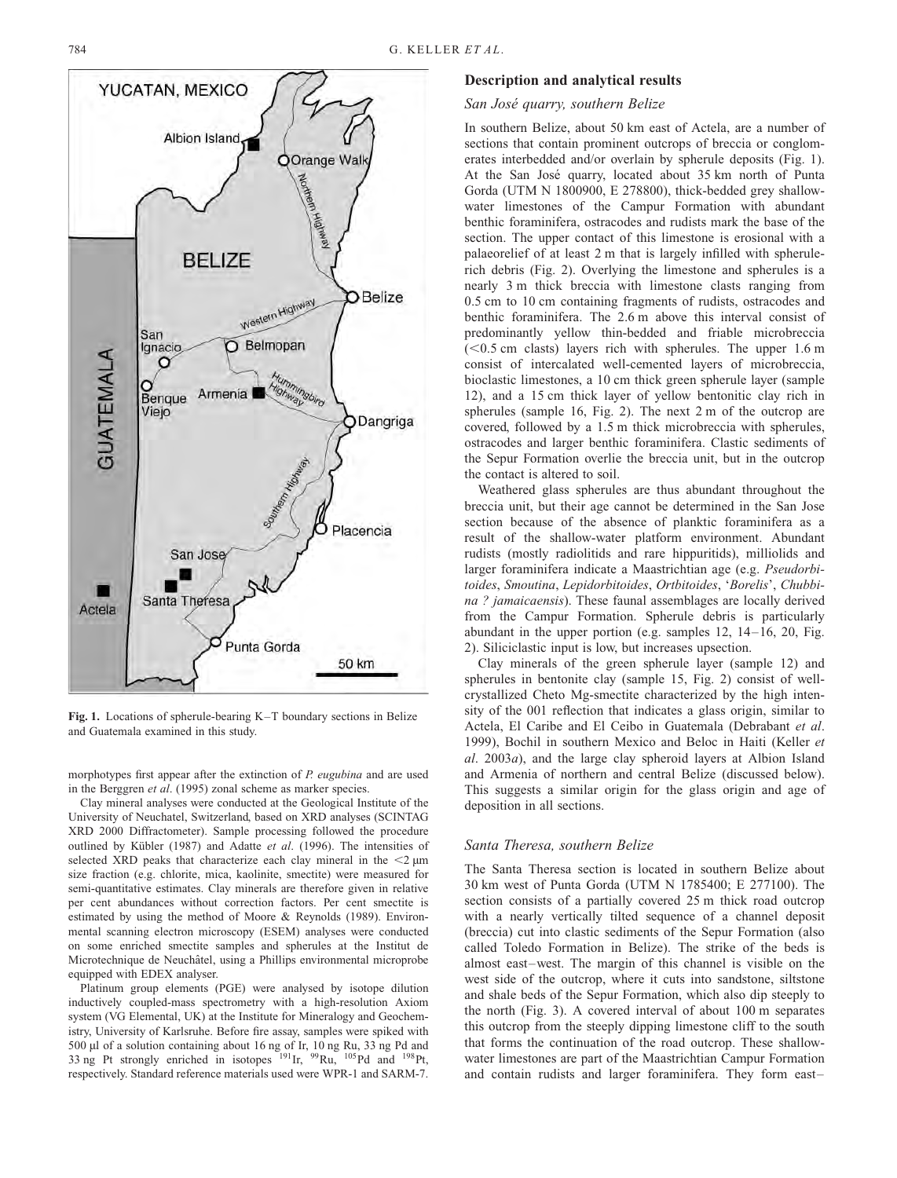<span id="page-1-0"></span>

Fig. 1. Locations of spherule-bearing K–T boundary sections in Belize and Guatemala examined in this study.

morphotypes first appear after the extinction of P. eugubina and are used in th[e Berggren](#page-11-0) et al. (1995) zonal scheme as marker species.

Clay mineral analyses were conducted at the Geological Institute of the University of Neuchatel, Switzerland, based on XRD analyses (SCINTAG XRD 2000 Diffractometer). Sample processing followed the procedure outlined by Kübler (1987) and Adatte et al. (1996). The intensities of selected XRD peaks that char[acterize](#page-11-0) [each](#page-11-0) [clay](#page-11-0) mineral in the  $\leq$   $2 \mu m$ size fraction (e.g. chlorite, mica, kaolinite, smectite) were measured for semi-quantitative estimates. Clay minerals are therefore given in relative per cent abundances without correction factors. Per cent smectite is estimated by using the method of [Moore & Reyno](#page-12-0)lds (1989). Environmental scanning electron microscopy (ESEM) analyses were conducted on some enriched smectite samples and spherules at the Institut de Microtechnique de Neuchâtel, using a Phillips environmental microprobe equipped with EDEX analyser.

Platinum group elements (PGE) were analysed by isotope dilution inductively coupled-mass spectrometry with a high-resolution Axiom system (VG Elemental, UK) at the Institute for Mineralogy and Geochemistry, University of Karlsruhe. Before fire assay, samples were spiked with 500 µl of a solution containing about 16 ng of Ir, 10 ng Ru, 33 ng Pd and 33 ng Pt strongly enriched in isotopes  $^{191}$ Ir,  $^{99}$ Ru,  $^{105}$ Pd and  $^{198}$ Pt, respectively. Standard reference materials used were WPR-1 and SARM-7.

#### Description and analytical results

### San José quarry, southern Belize

In southern Belize, about 50 km east of Actela, are a number of sections that contain prominent outcrops of breccia or conglomerates interbedded and/or overlain by spherule deposits (Fig. 1). At the San José quarry, located about 35 km north of Punta Gorda (UTM N 1800900, E 278800), thick-bedded grey shallowwater limestones of the Campur Formation with abundant benthic foraminifera, ostracodes and rudists mark the base of the section. The upper contact of this limestone is erosional with a palaeorelief of at least 2 m that is largely infilled with spherulerich debris (Fig. [2\).](#page-2-0) Overlying the limestone and spherules is a nearly 3 m thick breccia with limestone clasts ranging from 0.5 cm to 10 cm containing fragments of rudists, ostracodes and benthic foraminifera. The 2.6 m above this interval consist of predominantly yellow thin-bedded and friable microbreccia  $(< 0.5$  cm clasts) layers rich with spherules. The upper 1.6 m consist of intercalated well-cemented layers of microbreccia, bioclastic limestones, a 10 cm thick green spherule layer (sample 12), and a 15 cm thick layer of yellow bentonitic clay rich in spherules (sample 16, Fig. [2\).](#page-2-0) The next 2 m of the outcrop are covered, followed by a 1.5 m thick microbreccia with spherules, ostracodes and larger benthic foraminifera. Clastic sediments of the Sepur Formation overlie the breccia unit, but in the outcrop the contact is altered to soil.

Weathered glass spherules are thus abundant throughout the breccia unit, but their age cannot be determined in the San Jose section because of the absence of planktic foraminifera as a result of the shallow-water platform environment. Abundant rudists (mostly radiolitids and rare hippuritids), milliolids and larger foraminifera indicate a Maastrichtian age (e.g. Pseudorbitoides, Smoutina, Lepidorbitoides, Ortbitoides, 'Borelis', Chubbina ? jamaicaensis). These faunal assemblages are locally derived from the Campur Formation. Spherule debris is particularly abundant in the upper portion (e.g. samples 12, 14–16, 20, Fig. [2\).](#page-2-0) Siliciclastic input is low, but increases upsection.

Clay minerals of the green spherule layer (sample 12) and spherules in bentonite clay (sample 15, Fig. [2\)](#page-2-0) consist of wellcrystallized Cheto Mg-smectite characterized by the high intensity of the 001 reflection that indicates a glass origin, similar to Actela, El Caribe and El Ceibo in Guatemala [\(Debrabant](#page-11-0) et al. 1999), Bochil in southern Mexico and Beloc in Haiti (Keller et al. 2003a), and the large clay spheroid layers at Albion Island and Armenia of northern and central Belize (discussed below). This suggests a similar origin for the glass origin and age of deposition in all sections.

#### Santa Theresa, southern Belize

The Santa Theresa section is located in southern Belize about 30 km west of Punta Gorda (UTM N 1785400; E 277100). The section consists of a partially covered 25 m thick road outcrop with a nearly vertically tilted sequence of a channel deposit (breccia) cut into clastic sediments of the Sepur Formation (also called Toledo Formation in Belize). The strike of the beds is almost east–west. The margin of this channel is visible on the west side of the outcrop, where it cuts into sandstone, siltstone and shale beds of the Sepur Formation, which also dip steeply to the north (Fig. [3\).](#page-3-0) A covered interval of about 100 m separates this outcrop from the steeply dipping limestone cliff to the south that forms the continuation of the road outcrop. These shallowwater limestones are part of the Maastrichtian Campur Formation and contain rudists and larger foraminifera. They form east–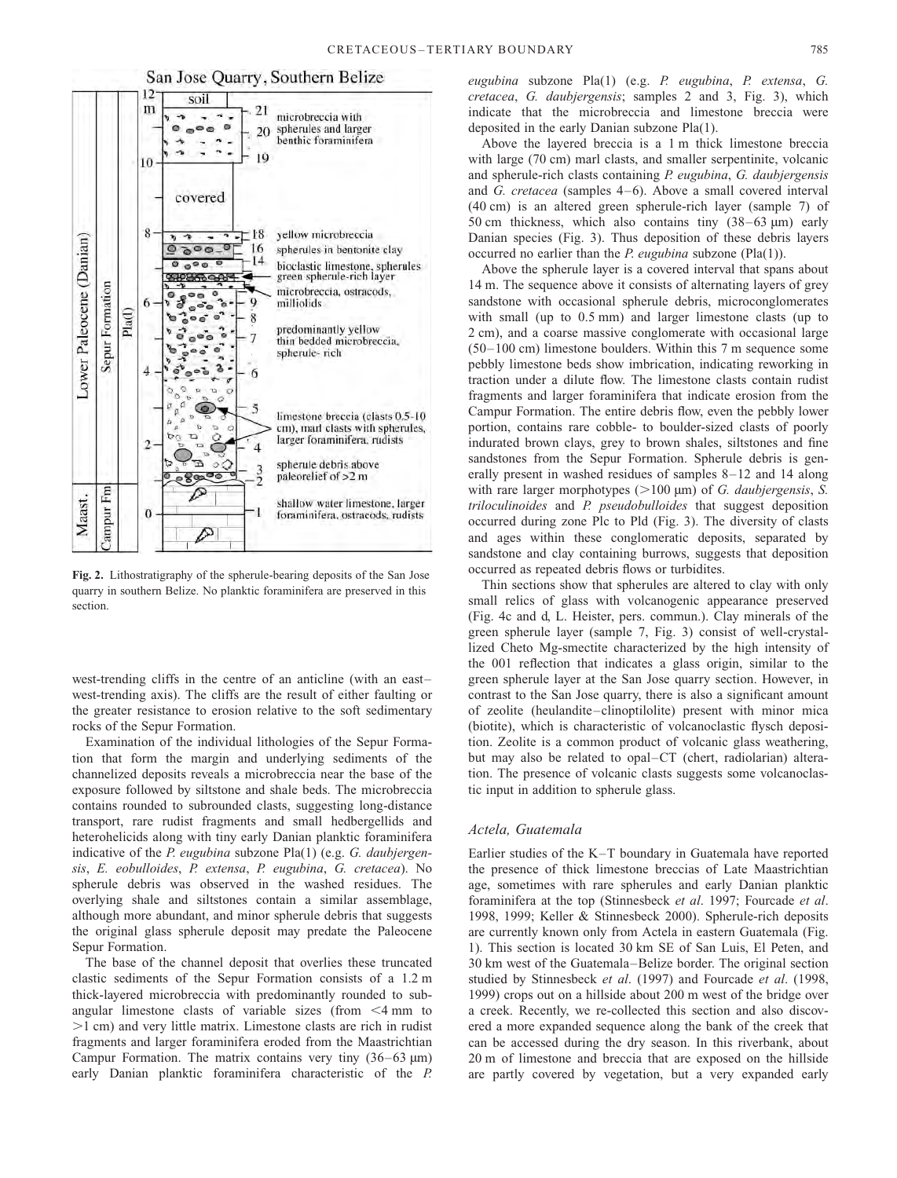### San Jose Quarry, Southern Belize

<span id="page-2-0"></span>

Fig. 2. Lithostratigraphy of the spherule-bearing deposits of the San Jose quarry in southern Belize. No planktic foraminifera are preserved in this section.

west-trending cliffs in the centre of an anticline (with an east– west-trending axis). The cliffs are the result of either faulting or the greater resistance to erosion relative to the soft sedimentary rocks of the Sepur Formation.

Examination of the individual lithologies of the Sepur Formation that form the margin and underlying sediments of the channelized deposits reveals a microbreccia near the base of the exposure followed by siltstone and shale beds. The microbreccia contains rounded to subrounded clasts, suggesting long-distance transport, rare rudist fragments and small hedbergellids and heterohelicids along with tiny early Danian planktic foraminifera indicative of the P. eugubina subzone Pla(1) (e.g. G. daubjergensis, E. eobulloides, P. extensa, P. eugubina, G. cretacea). No spherule debris was observed in the washed residues. The overlying shale and siltstones contain a similar assemblage, although more abundant, and minor spherule debris that suggests the original glass spherule deposit may predate the Paleocene Sepur Formation.

The base of the channel deposit that overlies these truncated clastic sediments of the Sepur Formation consists of a 1.2 m thick-layered microbreccia with predominantly rounded to subangular limestone clasts of variable sizes (from  $\leq 4$  mm to  $>1$  cm) and very little matrix. Limestone clasts are rich in rudist fragments and larger foraminifera eroded from the Maastrichtian Campur Formation. The matrix contains very tiny  $(36-63 \mu m)$ early Danian planktic foraminifera characteristic of the P.

eugubina subzone Pla(1) (e.g. P. eugubina, P. extensa, G. cretacea, G. daubjergensis; samples 2 and 3, Fig. [3\),](#page-3-0) which indicate that the microbreccia and limestone breccia were deposited in the early Danian subzone Pla(1).

Above the layered breccia is a 1 m thick limestone breccia with large (70 cm) marl clasts, and smaller serpentinite, volcanic and spherule-rich clasts containing P. eugubina, G. daubjergensis and G. cretacea (samples 4–6). Above a small covered interval (40 cm) is an altered green spherule-rich layer (sample 7) of 50 cm thickness, which also contains tiny  $(38-63 \text{ µm})$  early Danian species (Fig. [3\).](#page-3-0) Thus deposition of these debris layers occurred no earlier than the  $P$ . eugubina subzone (Pla(1)).

Above the spherule layer is a covered interval that spans about 14 m. The sequence above it consists of alternating layers of grey sandstone with occasional spherule debris, microconglomerates with small (up to 0.5 mm) and larger limestone clasts (up to 2 cm), and a coarse massive conglomerate with occasional large (50–100 cm) limestone boulders. Within this 7 m sequence some pebbly limestone beds show imbrication, indicating reworking in traction under a dilute flow. The limestone clasts contain rudist fragments and larger foraminifera that indicate erosion from the Campur Formation. The entire debris flow, even the pebbly lower portion, contains rare cobble- to boulder-sized clasts of poorly indurated brown clays, grey to brown shales, siltstones and fine sandstones from the Sepur Formation. Spherule debris is generally present in washed residues of samples 8–12 and 14 along with rare larger morphotypes ( $>100 \mu m$ ) of *G. daubjergensis*, *S.* triloculinoides and P. pseudobulloides that suggest deposition occurred during zone Plc to Pld (Fig. [3\).](#page-3-0) The diversity of clasts and ages within these conglomeratic deposits, separated by sandstone and clay containing burrows, suggests that deposition occurred as repeated debris flows or turbidites.

Thin sections show that spherules are altered to clay with only small relics of glass with volcanogenic appearance preserved (Fig. [4c](#page-4-0) and d, L. Heister, pers. commun.). Clay minerals of the green spherule layer (sample 7, Fig. [3\)](#page-3-0) consist of well-crystallized Cheto Mg-smectite characterized by the high intensity of the 001 reflection that indicates a glass origin, similar to the green spherule layer at the San Jose quarry section. However, in contrast to the San Jose quarry, there is also a significant amount of zeolite (heulandite–clinoptilolite) present with minor mica (biotite), which is characteristic of volcanoclastic flysch deposition. Zeolite is a common product of volcanic glass weathering, but may also be related to opal–CT (chert, radiolarian) alteration. The presence of volcanic clasts suggests some volcanoclastic input in addition to spherule glass.

#### Actela, Guatemala

Earlier studies of the K–T boundary in Guatemala have reported the presence of thick limestone breccias of Late Maastrichtian age, sometimes with rare spherules and early Danian planktic foraminifera at the top [\(Stinnesbeck](#page-12-0) et al. 1997[; Fourcade](#page-11-0) et al. 1998, 1999; [Keller & Stinn](#page-11-0)esbeck 2000). Spherule-rich deposits are currently known only from Actela in eastern Guatemala (Fig. [1\).](#page-1-0) This section is located 30 km SE of San Luis, El Peten, and 30 km west of the Guatemala–Belize border. The original section studied by [Stinnesbeck](#page-12-0) et al. (1997) and [Fourcade](#page-11-0) et al. (1998, 1999) crops out on a hillside about 200 m west of the bridge over a creek. Recently, we re-collected this section and also discovered a more expanded sequence along the bank of the creek that can be accessed during the dry season. In this riverbank, about 20 m of limestone and breccia that are exposed on the hillside are partly covered by vegetation, but a very expanded early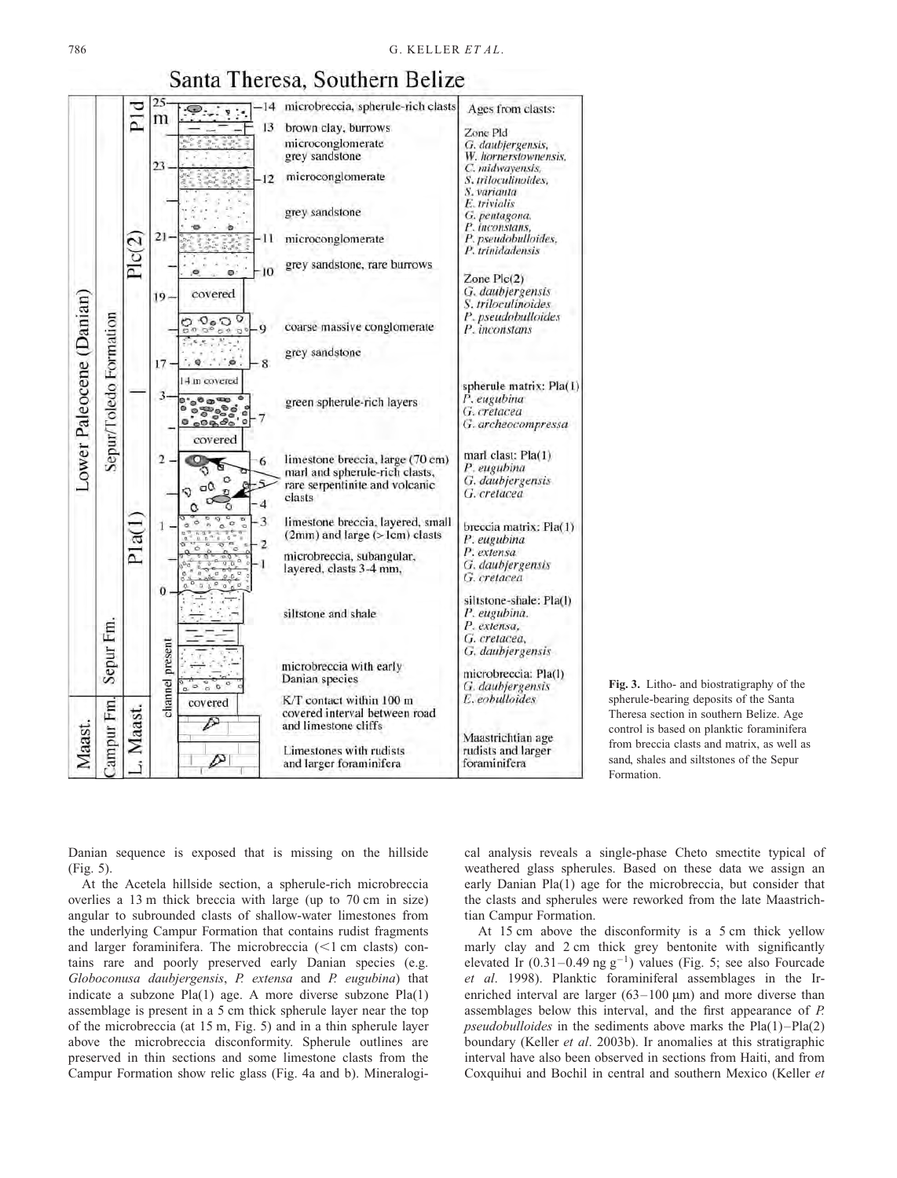<span id="page-3-0"></span>

# Santa Theresa, Southern Belize

Fig. 3. Litho- and biostratigraphy of the spherule-bearing deposits of the Santa Theresa section in southern Belize. Age control is based on planktic foraminifera from breccia clasts and matrix, as well as sand, shales and siltstones of the Sepur Formation.

Danian sequence is exposed that is missing on the hillside (Fig[. 5\).](#page-5-0)

At the Acetela hillside section, a spherule-rich microbreccia overlies a 13 m thick breccia with large (up to 70 cm in size) angular to subrounded clasts of shallow-water limestones from the underlying Campur Formation that contains rudist fragments and larger foraminifera. The microbreccia  $(\leq 1 \text{ cm}$  clasts) contains rare and poorly preserved early Danian species (e.g. Globoconusa daubjergensis, P. extensa and P. eugubina) that indicate a subzone Pla(1) age. A more diverse subzone Pla(1) assemblage is present in a 5 cm thick spherule layer near the top of the microbreccia (at 15 m, Fig. [5\)](#page-5-0) and in a thin spherule layer above the microbreccia disconformity. Spherule outlines are preserved in thin sections and some limestone clasts from the Campur Formation show relic glass (Fig. [4a](#page-4-0) and b). Mineralogical analysis reveals a single-phase Cheto smectite typical of weathered glass spherules. Based on these data we assign an early Danian Pla(1) age for the microbreccia, but consider that the clasts and spherules were reworked from the late Maastrichtian Campur Formation.

At 15 cm above the disconformity is a 5 cm thick yellow marly clay and 2 cm thick grey bentonite with significantly elevated Ir  $(0.31-0.49 \text{ ng g}^{-1})$  values (Fig. [5;](#page-5-0) see also [Fourcade](#page-11-0) et al. 1998). Planktic foraminiferal assemblages in the Irenriched interval are larger  $(63-100 \text{ }\mu\text{m})$  and more diverse than assemblages below this interval, and the first appearance of P. pseudobulloides in the sediments above marks the Pla(1)–Pla(2) boundary [\(Keller](#page-11-0) et al. 2003b). Ir anomalies at this stratigraphic interval have also been observed in sections from Haiti, and from Coxquihui and Bochil in central and southern Mexico [\(Keller](#page-11-0) et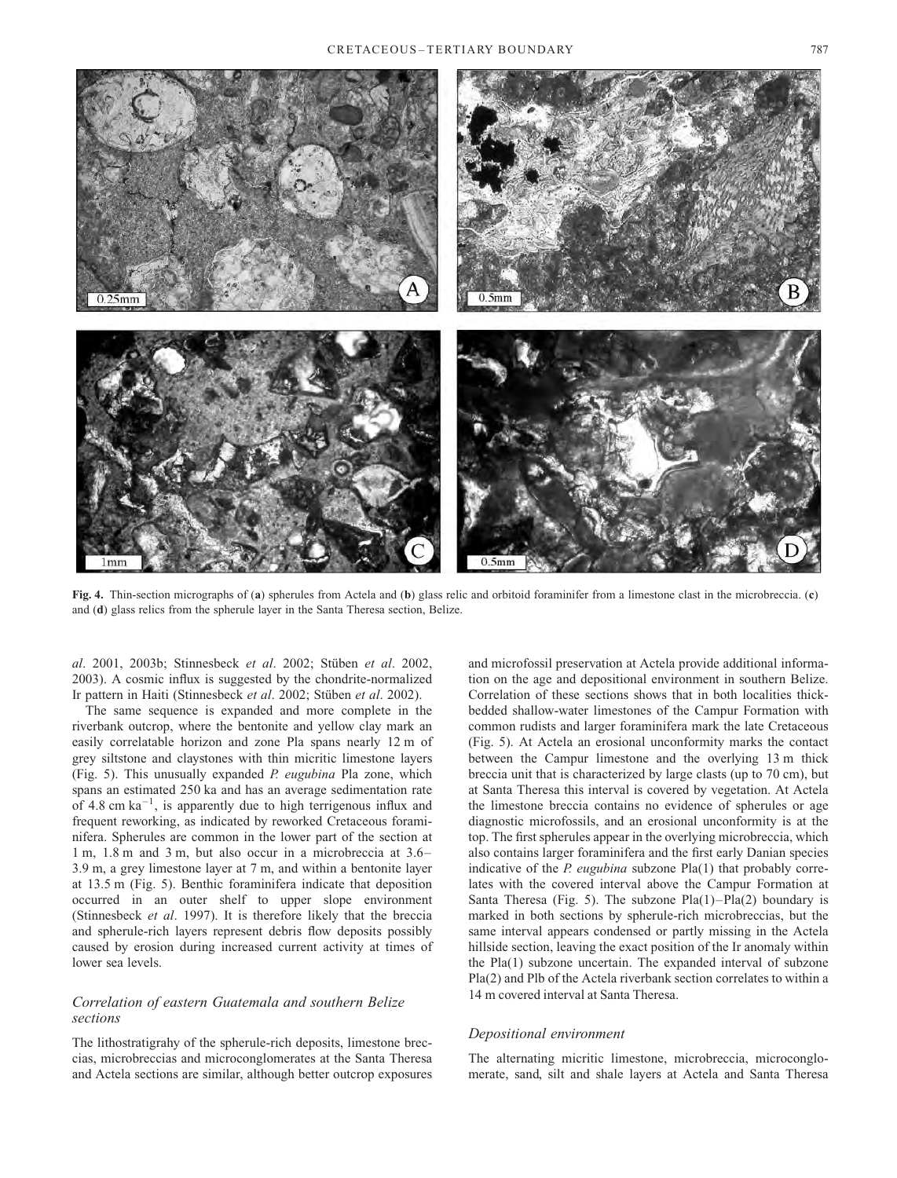<span id="page-4-0"></span>

Fig. 4. Thin-section micrographs of (a) spherules from Actela and (b) glass relic and orbitoid foraminifer from a limestone clast in the microbreccia. (c) and (d) glass relics from the spherule layer in the Santa Theresa section, Belize.

al. 2001, 2003b; [Stinnesbeck](#page-12-0) et al. 2002; Stüben et al. 2002, 2003). A cosmic influx is suggested by the chondrite-normalized Ir pattern in Haiti [\(Stinnesbeck](#page-12-0) et al. 2002; Stüben et al. 2002).

The same sequence is expanded and more complete in the riverbank outcrop, where the bentonite and yellow clay mark an easily correlatable horizon and zone Pla spans nearly 12 m of grey siltstone and claystones with thin micritic limestone layers (Fig. [5\).](#page-5-0) This unusually expanded P. eugubina Pla zone, which spans an estimated 250 ka and has an average sedimentation rate of 4.8 cm  $ka^{-1}$ , is apparently due to high terrigenous influx and frequent reworking, as indicated by reworked Cretaceous foraminifera. Spherules are common in the lower part of the section at 1 m, 1.8 m and 3 m, but also occur in a microbreccia at 3.6– 3.9 m, a grey limestone layer at 7 m, and within a bentonite layer at 13.5 m (Fig. [5\).](#page-5-0) Benthic foraminifera indicate that deposition occurred in an outer shelf to upper slope environment [\(Stinnesbeck](#page-12-0) et al. 1997). It is therefore likely that the breccia and spherule-rich layers represent debris flow deposits possibly caused by erosion during increased current activity at times of lower sea levels.

### Correlation of eastern Guatemala and southern Belize sections

The lithostratigrahy of the spherule-rich deposits, limestone breccias, microbreccias and microconglomerates at the Santa Theresa and Actela sections are similar, although better outcrop exposures

and microfossil preservation at Actela provide additional information on the age and depositional environment in southern Belize. Correlation of these sections shows that in both localities thickbedded shallow-water limestones of the Campur Formation with common rudists and larger foraminifera mark the late Cretaceous (Fig. [5\).](#page-5-0) At Actela an erosional unconformity marks the contact between the Campur limestone and the overlying 13 m thick breccia unit that is characterized by large clasts (up to 70 cm), but at Santa Theresa this interval is covered by vegetation. At Actela the limestone breccia contains no evidence of spherules or age diagnostic microfossils, and an erosional unconformity is at the top. The first spherules appear in the overlying microbreccia, which also contains larger foraminifera and the first early Danian species indicative of the  $P$ . eugubina subzone  $Pla(1)$  that probably correlates with the covered interval above the Campur Formation at Santa Theresa (Fig. [5\).](#page-5-0) The subzone  $Pla(1) - Pla(2)$  boundary is marked in both sections by spherule-rich microbreccias, but the same interval appears condensed or partly missing in the Actela hillside section, leaving the exact position of the Ir anomaly within the Pla(1) subzone uncertain. The expanded interval of subzone Pla(2) and Plb of the Actela riverbank section correlates to within a 14 m covered interval at Santa Theresa.

#### Depositional environment

The alternating micritic limestone, microbreccia, microconglomerate, sand, silt and shale layers at Actela and Santa Theresa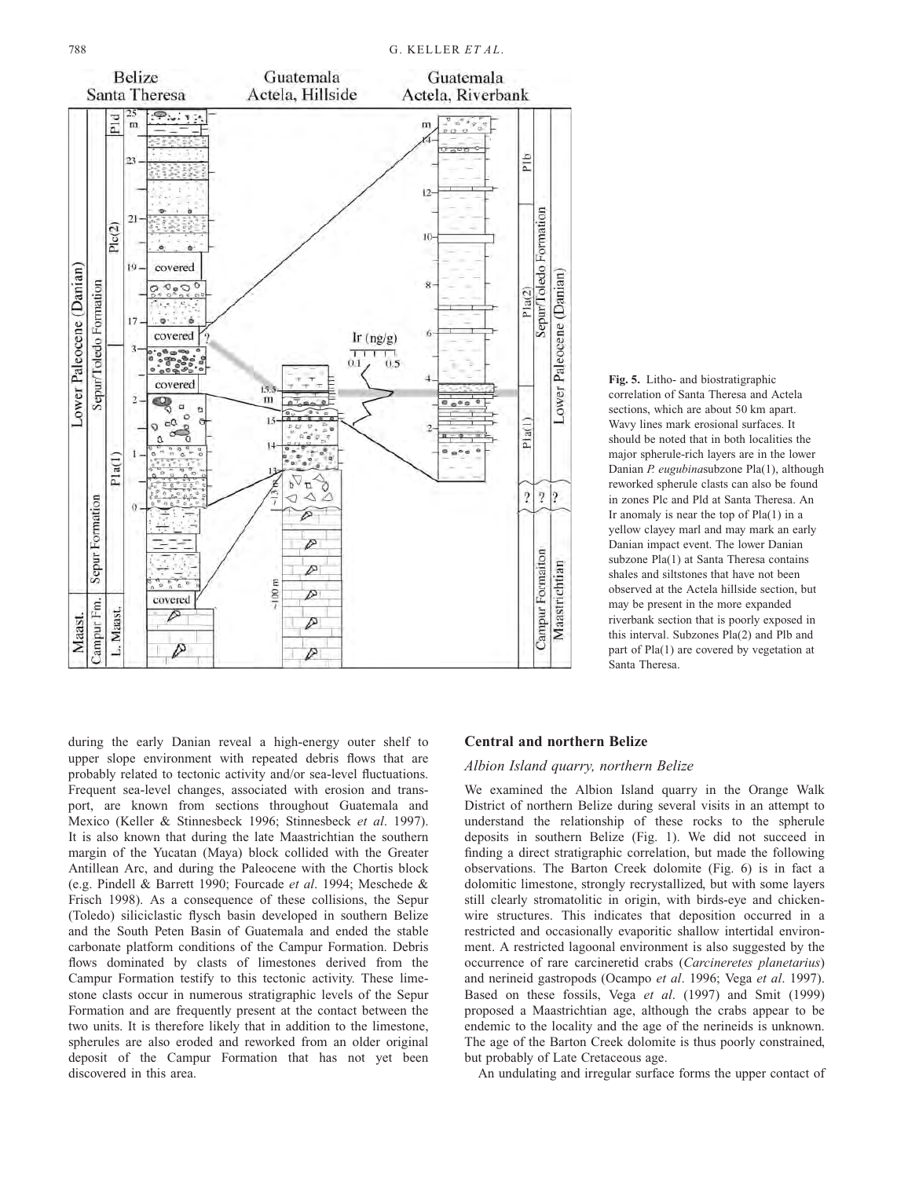<span id="page-5-0"></span>

Fig. 5. Litho- and biostratigraphic correlation of Santa Theresa and Actela sections, which are about 50 km apart. Wavy lines mark erosional surfaces. It should be noted that in both localities the major spherule-rich layers are in the lower Danian P. eugubinasubzone Pla(1), although reworked spherule clasts can also be found in zones Plc and Pld at Santa Theresa. An Ir anomaly is near the top of  $Pla(1)$  in a yellow clayey marl and may mark an early Danian impact event. The lower Danian subzone Pla(1) at Santa Theresa contains shales and siltstones that have not been observed at the Actela hillside section, but may be present in the more expanded riverbank section that is poorly exposed in this interval. Subzones Pla(2) and Plb and part of Pla(1) are covered by vegetation at Santa Theresa.

during the early Danian reveal a high-energy outer shelf to upper slope environment with repeated debris flows that are probably related to tectonic activity and/or sea-level fluctuations. Frequent sea-level changes, associated with erosion and transport, are known from sections throughout Guatemala and Mexico [\(Keller & Stinn](#page-11-0)esbeck 1996; [Stinnesbeck](#page-12-0) et al. 1997). It is also known that during the late Maastrichtian the southern margin of the Yucatan (Maya) block collided with the Greater Antillean Arc, and during the Paleocene with the Chortis block (e.g. [Pindell & Barr](#page-12-0)ett 1990; [Fourcade](#page-11-0) et al. 1994; [Meschede &](#page-12-0) Frisch 1998). As a consequence of these collisions, the Sepur (Toledo) siliciclastic flysch basin developed in southern Belize and the South Peten Basin of Guatemala and ended the stable carbonate platform conditions of the Campur Formation. Debris flows dominated by clasts of limestones derived from the Campur Formation testify to this tectonic activity. These limestone clasts occur in numerous stratigraphic levels of the Sepur Formation and are frequently present at the contact between the two units. It is therefore likely that in addition to the limestone, spherules are also eroded and reworked from an older original deposit of the Campur Formation that has not yet been discovered in this area.

# Central and northern Belize

### Albion Island quarry, northern Belize

We examined the Albion Island quarry in the Orange Walk District of northern Belize during several visits in an attempt to understand the relationship of these rocks to the spherule deposits in southern Belize (Fig. [1\).](#page-1-0) We did not succeed in finding a direct stratigraphic correlation, but made the following observations. The Barton Creek dolomite (Fig. [6\)](#page-6-0) is in fact a dolomitic limestone, strongly recrystallized, but with some layers still clearly stromatolitic in origin, with birds-eye and chickenwire structures. This indicates that deposition occurred in a restricted and occasionally evaporitic shallow intertidal environment. A restricted lagoonal environment is also suggested by the occurrence of rare carcineretid crabs (Carcineretes planetarius) and nerineid gastropods [\(Ocampo](#page-12-0) et al. 1996[; Vega](#page-12-0) et al. 1997). Based on these fossils, [Vega](#page-12-0) et al. (1997) and [Smit \(1999\)](#page-12-0) proposed a Maastrichtian age, although the crabs appear to be endemic to the locality and the age of the nerineids is unknown. The age of the Barton Creek dolomite is thus poorly constrained, but probably of Late Cretaceous age.

An undulating and irregular surface forms the upper contact of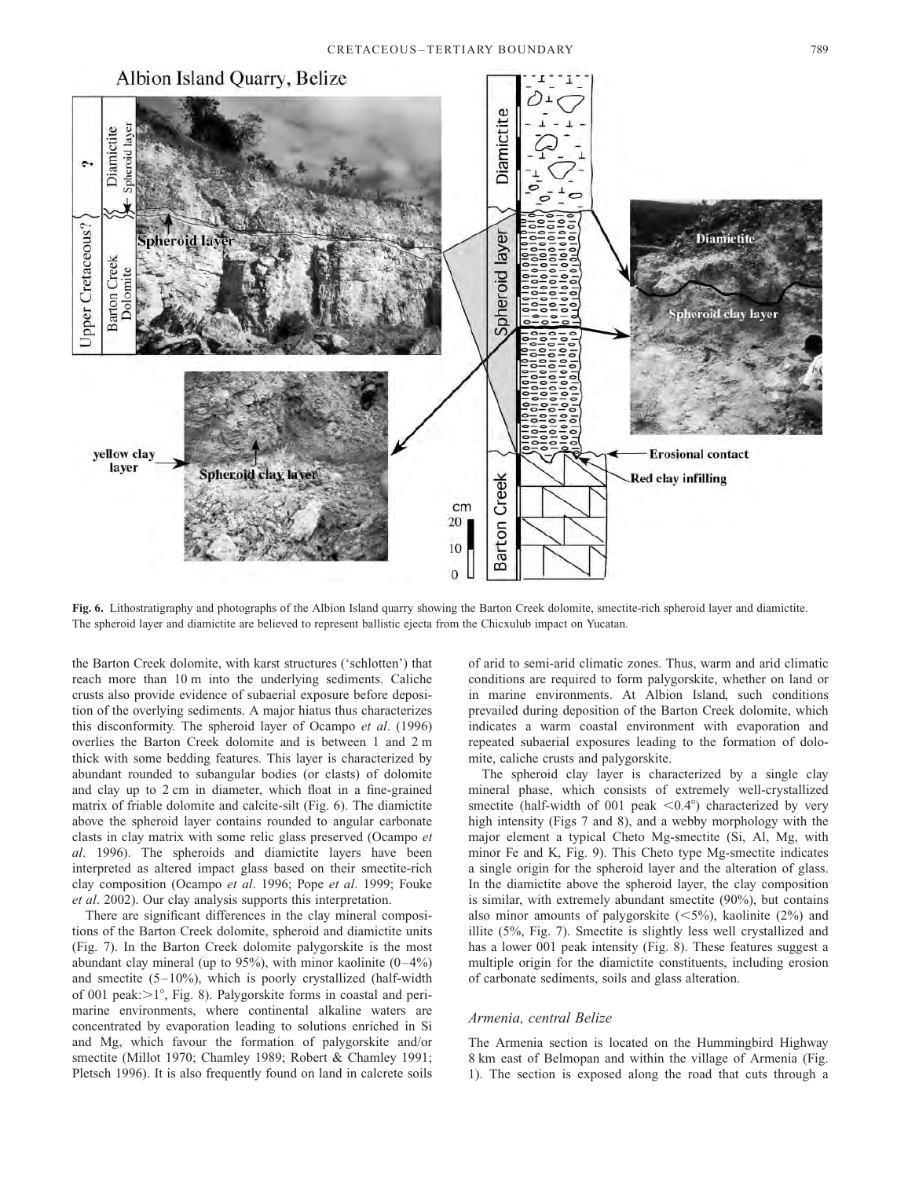<span id="page-6-0"></span>

Fig. 6. Lithostratigraphy and photographs of the Albion Island quarry showing the Barton Creek dolomite, smectite-rich spheroid layer and diamictite. The spheroid layer and diamictite are believed to represent ballistic ejecta from the Chicxulub impact on Yucatan.

the Barton Creek dolomite, with karst structures ('schlotten') that reach more than 10 m into the underlying sediments. Caliche crusts also provide evidence of subaerial exposure before deposition of the overlying sediments. A major hiatus thus characterizes this disconformity. The spheroid layer of [Ocampo](#page-12-0) et al. (1996) overlies the Barton Creek dolomite and is between 1 and 2 m thick with some bedding features. This layer is characterized by abundant rounded to subangular bodies (or clasts) of dolomite and clay up to 2 cm in diameter, which float in a fine-grained matrix of friable dolomite and calcite-silt (Fig. 6). The diamictite above the spheroid layer contains rounded to angular carbonate clasts in clay matrix with some relic glass preserved [\(Ocampo](#page-12-0) et al. 1996). The spheroids and diamictite layers have been interpreted as altered impact glass based on their smectite-rich clay composition [\(Ocampo](#page-12-0) et al. 1996; [Pope](#page-12-0) et al. 1999; [Fouke](#page-11-0) et al. 2002). Our clay analysis supports this interpretation.

There are significant differences in the clay mineral compositions of the Barton Creek dolomite, spheroid and diamictite units (Fig. [7\).](#page-7-0) In the Barton Creek dolomite palygorskite is the most abundant clay mineral (up to 95%), with minor kaolinite  $(0-4\%)$ and smectite (5–10%), which is poorly crystallized (half-width of 001 peak: $>1^\circ$ , Fig. [8\).](#page-7-0) Palygorskite forms in coastal and perimarine environments, where continental alkaline waters are concentrated by evaporation leading to solutions enriched in Si and Mg, which favour the formation of palygorskite and/or smectite [\(Millot 1970;](#page-12-0) [Chamley 1989](#page-11-0); [Robert & Cham](#page-12-0)ley 1991; [Pletsch 1996\).](#page-12-0) It is also frequently found on land in calcrete soils

of arid to semi-arid climatic zones. Thus, warm and arid climatic conditions are required to form palygorskite, whether on land or in marine environments. At Albion Island, such conditions prevailed during deposition of the Barton Creek dolomite, which indicates a warm coastal environment with evaporation and repeated subaerial exposures leading to the formation of dolomite, caliche crusts and palygorskite.

The spheroid clay layer is characterized by a single clay mineral phase, which consists of extremely well-crystallized smectite (half-width of 001 peak  $\leq 0.4^{\circ}$ ) characterized by very high intensity (Figs [7 a](#page-7-0)nd [8\),](#page-7-0) and a webby morphology with the major element a typical Cheto Mg-smectite (Si, Al, Mg, with minor Fe and K, Fig[. 9\).](#page-8-0) This Cheto type Mg-smectite indicates a single origin for the spheroid layer and the alteration of glass. In the diamictite above the spheroid layer, the clay composition is similar, with extremely abundant smectite (90%), but contains also minor amounts of palygorskite  $(<5%)$ , kaolinite (2%) and illite (5%, Fig. [7\).](#page-7-0) Smectite is slightly less well crystallized and has a lower 001 peak intensity (Fig. [8\).](#page-7-0) These features suggest a multiple origin for the diamictite constituents, including erosion of carbonate sediments, soils and glass alteration.

#### Armenia, central Belize

The Armenia section is located on the Hummingbird Highway 8 km east of Belmopan and within the village of Armenia (Fig. [1\).](#page-1-0) The section is exposed along the road that cuts through a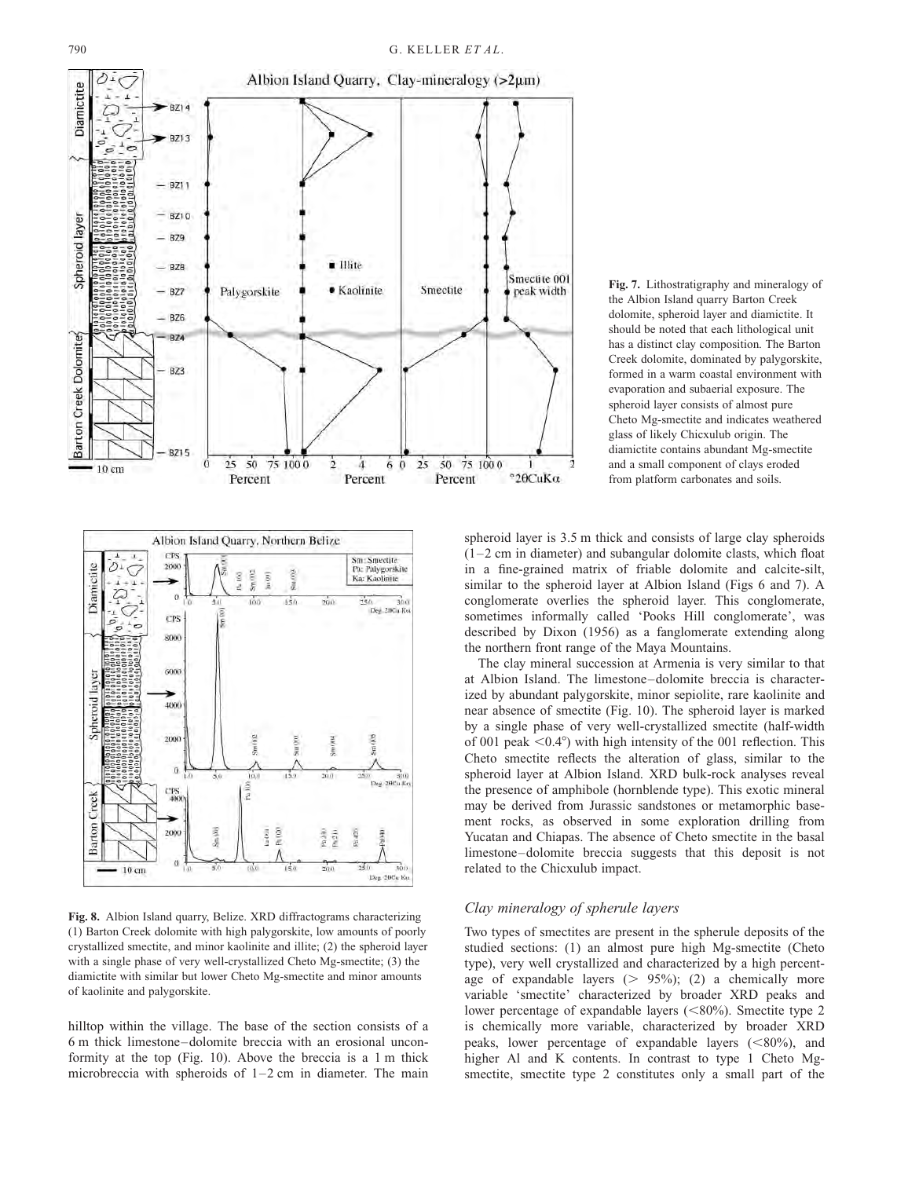<span id="page-7-0"></span>



Fig. 8. Albion Island quarry, Belize. XRD diffractograms characterizing (1) Barton Creek dolomite with high palygorskite, low amounts of poorly crystallized smectite, and minor kaolinite and illite; (2) the spheroid layer with a single phase of very well-crystallized Cheto Mg-smectite; (3) the diamictite with similar but lower Cheto Mg-smectite and minor amounts of kaolinite and palygorskite.

hilltop within the village. The base of the section consists of a 6 m thick limestone–dolomite breccia with an erosional unconformity at the top (Fig. [10\).](#page-9-0) Above the breccia is a 1 m thick microbreccia with spheroids of 1–2 cm in diameter. The main Fig. 7. Lithostratigraphy and mineralogy of the Albion Island quarry Barton Creek dolomite, spheroid layer and diamictite. It should be noted that each lithological unit has a distinct clay composition. The Barton Creek dolomite, dominated by palygorskite, formed in a warm coastal environment with evaporation and subaerial exposure. The spheroid layer consists of almost pure Cheto Mg-smectite and indicates weathered glass of likely Chicxulub origin. The diamictite contains abundant Mg-smectite and a small component of clays eroded from platform carbonates and soils.

spheroid layer is 3.5 m thick and consists of large clay spheroids  $(1–2$  cm in diameter) and subangular dolomite clasts, which float in a fine-grained matrix of friable dolomite and calcite-silt, similar to the spheroid layer at Albion Island (Figs [6](#page-6-0) and 7). A conglomerate overlies the spheroid layer. This conglomerate, sometimes informally called 'Pooks Hill conglomerate', was described by [Dixon \(1956\)](#page-11-0) as a fanglomerate extending along the northern front range of the Maya Mountains.

The clay mineral succession at Armenia is very similar to that at Albion Island. The limestone–dolomite breccia is characterized by abundant palygorskite, minor sepiolite, rare kaolinite and near absence of smectite (Fig[. 10\).](#page-9-0) The spheroid layer is marked by a single phase of very well-crystallized smectite (half-width of 001 peak  $\leq 0.4^{\circ}$ ) with high intensity of the 001 reflection. This Cheto smectite reflects the alteration of glass, similar to the spheroid layer at Albion Island. XRD bulk-rock analyses reveal the presence of amphibole (hornblende type). This exotic mineral may be derived from Jurassic sandstones or metamorphic basement rocks, as observed in some exploration drilling from Yucatan and Chiapas. The absence of Cheto smectite in the basal limestone–dolomite breccia suggests that this deposit is not related to the Chicxulub impact.

# Clay mineralogy of spherule layers

Two types of smectites are present in the spherule deposits of the studied sections: (1) an almost pure high Mg-smectite (Cheto type), very well crystallized and characterized by a high percentage of expandable layers  $(> 95\%)$ ; (2) a chemically more variable 'smectite' characterized by broader XRD peaks and lower percentage of expandable layers  $(<80\%)$ . Smectite type 2 is chemically more variable, characterized by broader XRD peaks, lower percentage of expandable layers  $(<80\%)$ , and higher Al and K contents. In contrast to type 1 Cheto Mgsmectite, smectite type 2 constitutes only a small part of the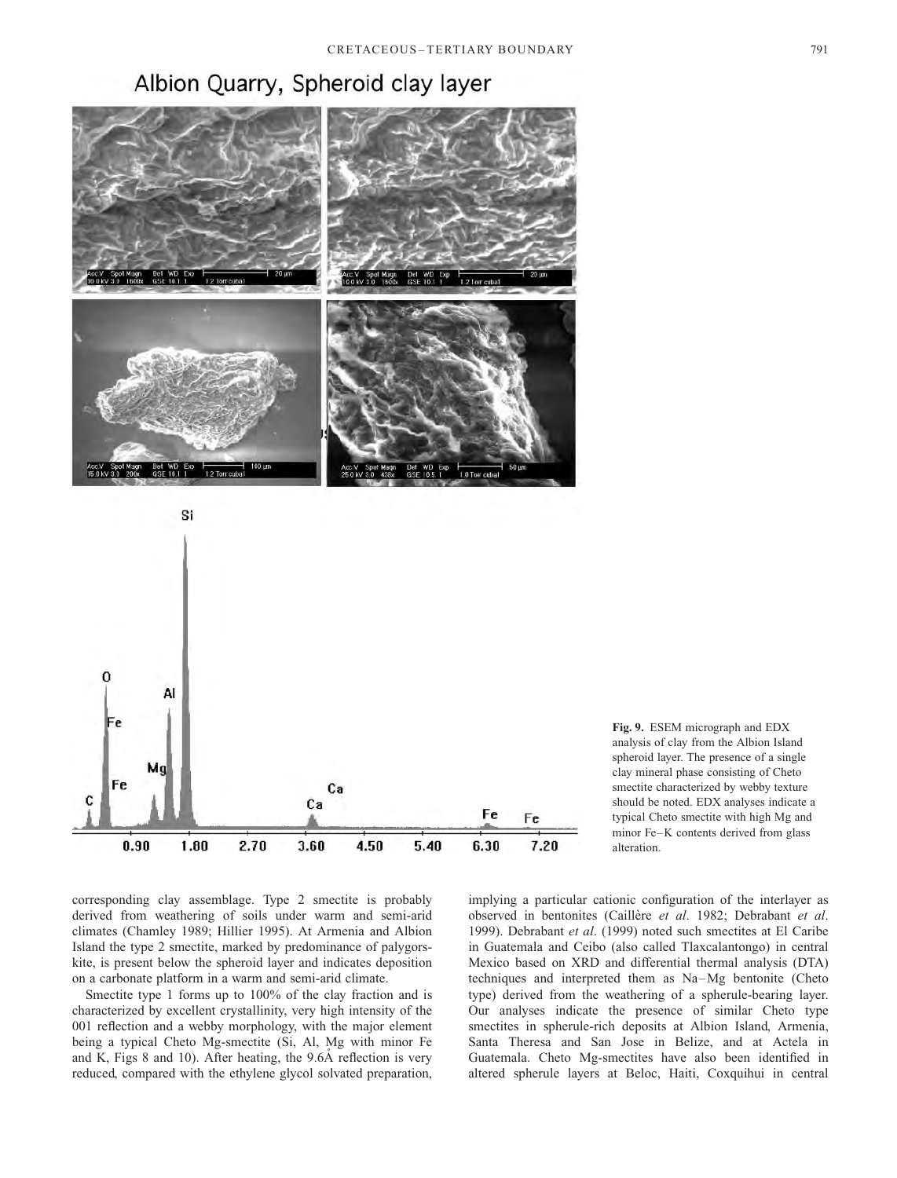# Albion Quarry, Spheroid clay layer

<span id="page-8-0"></span>



Fig. 9. ESEM micrograph and EDX analysis of clay from the Albion Island spheroid layer. The presence of a single clay mineral phase consisting of Cheto smectite characterized by webby texture should be noted. EDX analyses indicate a typical Cheto smectite with high Mg and minor Fe–K contents derived from glass alteration.

corresponding clay assemblage. Type 2 smectite is probably derived from weathering of soils under warm and semi-arid climates [\(Chamley 1989](#page-11-0); [Hillier 1995\). A](#page-11-0)t Armenia and Albion Island the type 2 smectite, marked by predominance of palygorskite, is present below the spheroid layer and indicates deposition on a carbonate platform in a warm and semi-arid climate.

Smectite type 1 forms up to 100% of the clay fraction and is characterized by excellent crystallinity, very high intensity of the 001 reflection and a webby morphology, with the major element being a typical Cheto Mg-smectite (Si, Al, Mg with minor Fe and K, Fig[s 8 a](#page-7-0)nd [10\).](#page-9-0) After heating, the  $9.6\text{\AA}$  reflection is very reduced, compared with the ethylene glycol solvated preparation,

implying a particular cationic configuration of the interlayer as observed in bentonites (Caillère et al. 1982; [Debrabant](#page-11-0) et al. 1999)[. Debrabant](#page-11-0) et al. (1999) noted such smectites at El Caribe in Guatemala and Ceibo (also called Tlaxcalantongo) in central Mexico based on XRD and differential thermal analysis (DTA) techniques and interpreted them as Na–Mg bentonite (Cheto type) derived from the weathering of a spherule-bearing layer. Our analyses indicate the presence of similar Cheto type smectites in spherule-rich deposits at Albion Island, Armenia, Santa Theresa and San Jose in Belize, and at Actela in Guatemala. Cheto Mg-smectites have also been identified in altered spherule layers at Beloc, Haiti, Coxquihui in central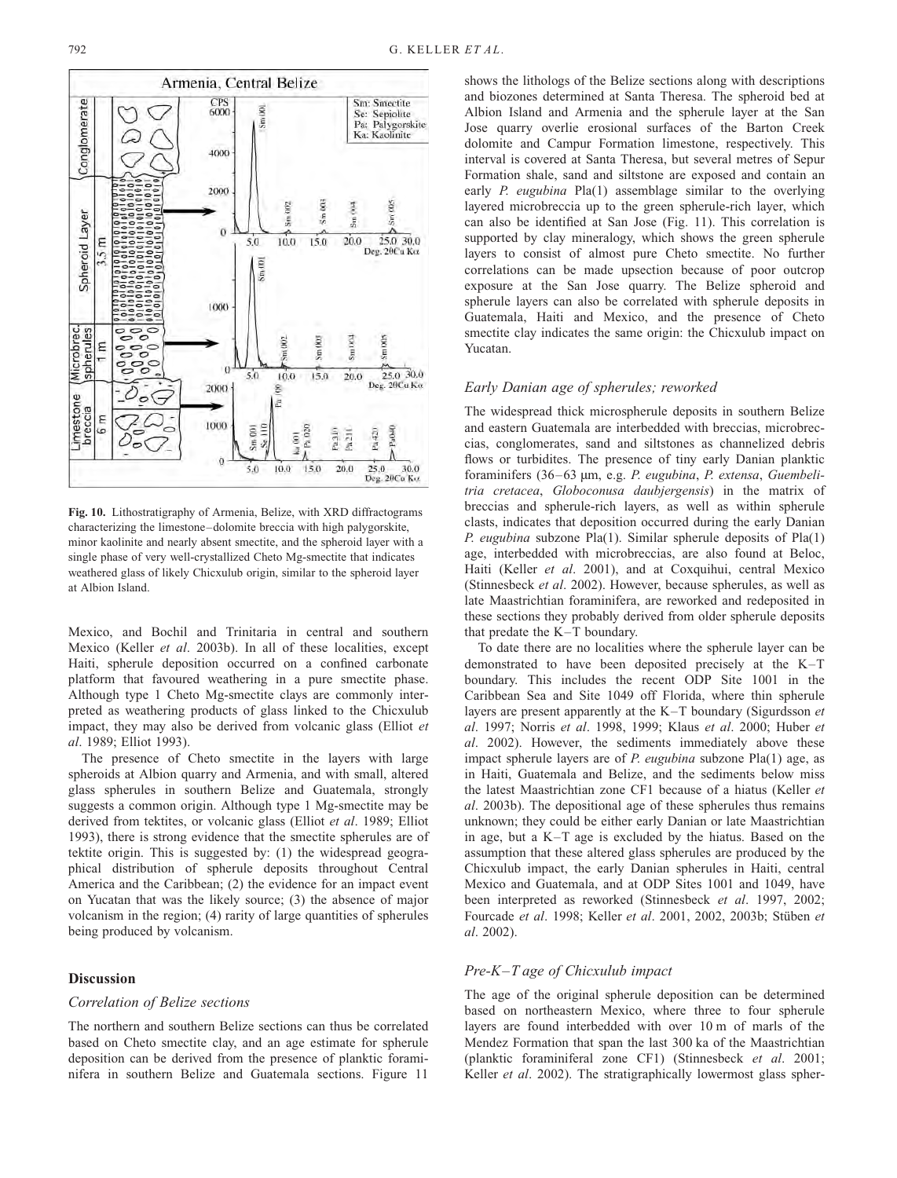<span id="page-9-0"></span>

Fig. 10. Lithostratigraphy of Armenia, Belize, with XRD diffractograms characterizing the limestone–dolomite breccia with high palygorskite, minor kaolinite and nearly absent smectite, and the spheroid layer with a single phase of very well-crystallized Cheto Mg-smectite that indicates weathered glass of likely Chicxulub origin, similar to the spheroid layer at Albion Island.

Mexico, and Bochil and Trinitaria in central and southern Mexico [\(Keller](#page-11-0) et al. 2003b). In all of these localities, except Haiti, spherule deposition occurred on a confined carbonate platform that favoured weathering in a pure smectite phase. Although type 1 Cheto Mg-smectite clays are commonly interpreted as weathering products of glass linked to the Chicxulub impact, they may also be derived from volcanic glass [\(Elliot](#page-11-0) et al. 1989[; Elliot 1993\).](#page-11-0)

The presence of Cheto smectite in the layers with large spheroids at Albion quarry and Armenia, and with small, altered glass spherules in southern Belize and Guatemala, strongly suggests a common origin. Although type 1 Mg-smectite may be derived from tektites, or volcanic glass [\(Elliot](#page-11-0) et al. 1989[; Elliot](#page-11-0) 1993), there is strong evidence that the smectite spherules are of tektite origin. This is suggested by: (1) the widespread geographical distribution of spherule deposits throughout Central America and the Caribbean; (2) the evidence for an impact event on Yucatan that was the likely source; (3) the absence of major volcanism in the region; (4) rarity of large quantities of spherules being produced by volcanism.

### **Discussion**

#### Correlation of Belize sections

The northern and southern Belize sections can thus be correlated based on Cheto smectite clay, and an age estimate for spherule deposition can be derived from the presence of planktic foraminifera in southern Belize and Guatemala sections. Figure [11](#page-10-0)

shows the lithologs of the Belize sections along with descriptions and biozones determined at Santa Theresa. The spheroid bed at Albion Island and Armenia and the spherule layer at the San Jose quarry overlie erosional surfaces of the Barton Creek dolomite and Campur Formation limestone, respectively. This interval is covered at Santa Theresa, but several metres of Sepur Formation shale, sand and siltstone are exposed and contain an early P. eugubina Pla(1) assemblage similar to the overlying layered microbreccia up to the green spherule-rich layer, which can also be identified at San Jose (Fig. [11\).](#page-10-0) This correlation is supported by clay mineralogy, which shows the green spherule layers to consist of almost pure Cheto smectite. No further correlations can be made upsection because of poor outcrop exposure at the San Jose quarry. The Belize spheroid and spherule layers can also be correlated with spherule deposits in Guatemala, Haiti and Mexico, and the presence of Cheto smectite clay indicates the same origin: the Chicxulub impact on Yucatan.

#### Early Danian age of spherules; reworked

The widespread thick microspherule deposits in southern Belize and eastern Guatemala are interbedded with breccias, microbreccias, conglomerates, sand and siltstones as channelized debris flows or turbidites. The presence of tiny early Danian planktic foraminifers (36–63 µm, e.g. P. eugubina, P. extensa, Guembelitria cretacea, Globoconusa daubjergensis) in the matrix of breccias and spherule-rich layers, as well as within spherule clasts, indicates that deposition occurred during the early Danian P. eugubina subzone Pla(1). Similar spherule deposits of Pla(1) age, interbedded with microbreccias, are also found at Beloc, Haiti [\(Keller](#page-11-0) et al. 2001), and at Coxquihui, central Mexico [\(Stinnesbeck](#page-12-0) et al. 2002). However, because spherules, as well as late Maastrichtian foraminifera, are reworked and redeposited in these sections they probably derived from older spherule deposits that predate the K–T boundary.

To date there are no localities where the spherule layer can be demonstrated to have been deposited precisely at the K–T boundary. This includes the recent ODP Site 1001 in the Caribbean Sea and Site 1049 off Florida, where thin spherule layers are present apparently at the K–T boundary [\(Sigurdsson](#page-12-0) et al. 1997; [Norris](#page-12-0) et al. 1998, 1999; [Klaus](#page-11-0) et al. 2000; [Huber](#page-11-0) et al. 2002). However, the sediments immediately above these impact spherule layers are of P. eugubina subzone Pla(1) age, as in Haiti, Guatemala and Belize, and the sediments below miss the latest Maastrichtian zone CF1 because of a hiatus [\(Keller](#page-11-0) et al. 2003b). The depositional age of these spherules thus remains unknown; they could be either early Danian or late Maastrichtian in age, but a K–T age is excluded by the hiatus. Based on the assumption that these altered glass spherules are produced by the Chicxulub impact, the early Danian spherules in Haiti, central Mexico and Guatemala, and at ODP Sites 1001 and 1049, have been interpreted as reworked [\(Stinnesbeck](#page-12-0) et al. 1997, 2002; [Fourcade](#page-11-0) et al. 1998; [Keller](#page-11-0) et al. 2001, 2002, 2003b; Stüben et al. 2002).

# Pre-K–T age of Chicxulub impact

The age of the original spherule deposition can be determined based on northeastern Mexico, where three to four spherule layers are found interbedded with over 10 m of marls of the Mendez Formation that span the last 300 ka of the Maastrichtian (planktic foraminiferal zone CF1) [\(Stinnesbeck](#page-12-0) et al. 2001; [Keller](#page-11-0) *et al.* 2002). The stratigraphically lowermost glass spher-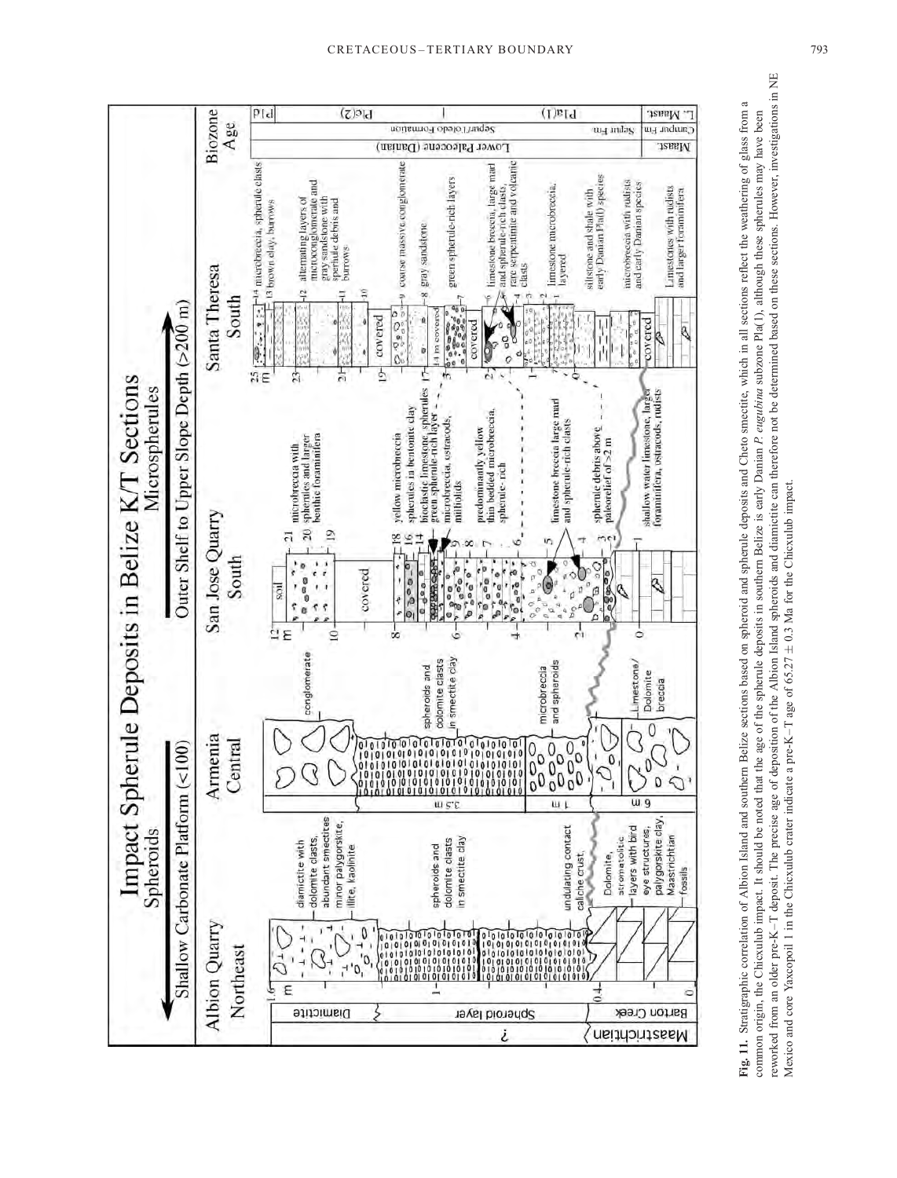<span id="page-10-0"></span>

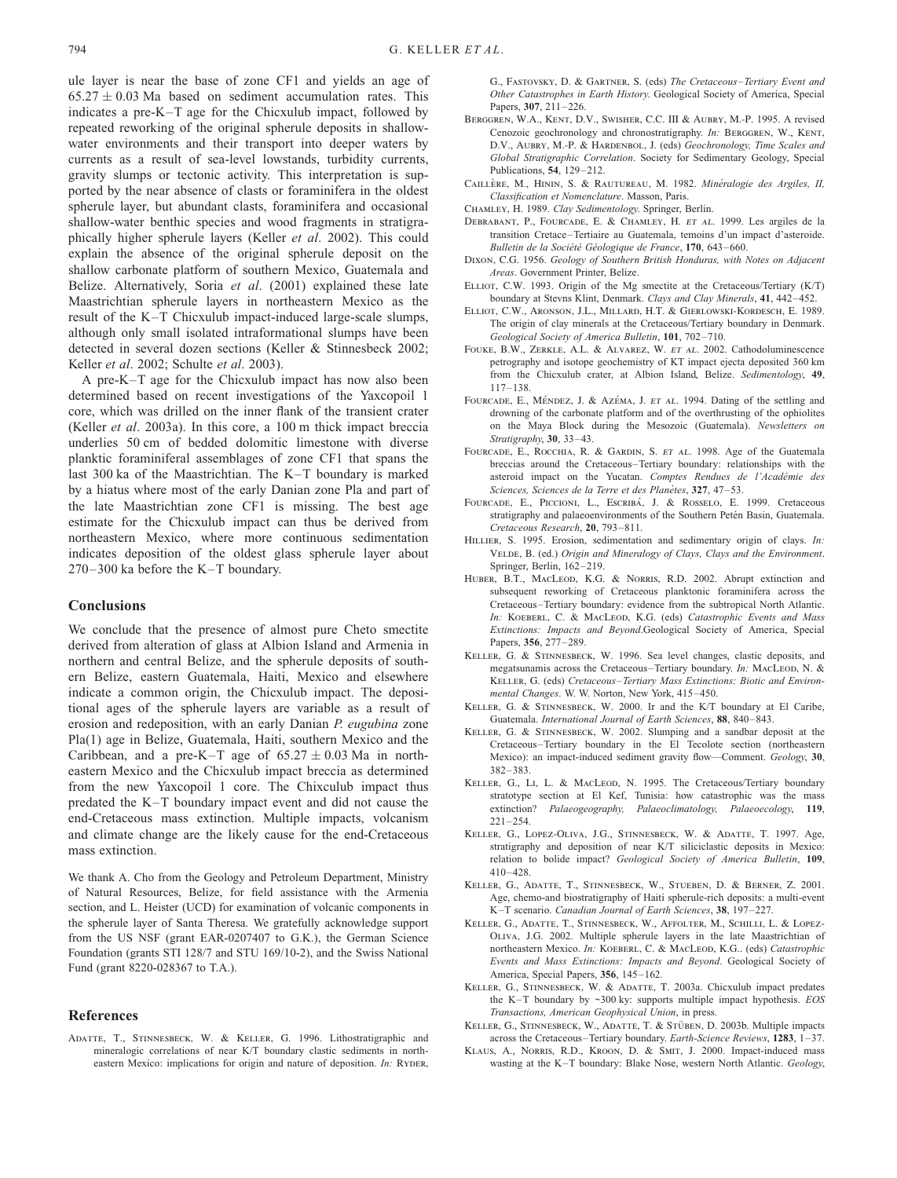<span id="page-11-0"></span>ule layer is near the base of zone CF1 and yields an age of  $65.27 \pm 0.03$  Ma based on sediment accumulation rates. This indicates a pre-K–T age for the Chicxulub impact, followed by repeated reworking of the original spherule deposits in shallowwater environments and their transport into deeper waters by currents as a result of sea-level lowstands, turbidity currents, gravity slumps or tectonic activity. This interpretation is supported by the near absence of clasts or foraminifera in the oldest spherule layer, but abundant clasts, foraminifera and occasional shallow-water benthic species and wood fragments in stratigraphically higher spherule layers (Keller et al. 2002). This could explain the absence of the original spherule deposit on the shallow carbonate platform of southern Mexico, Guatemala and Belize. Alternatively, [Soria](#page-12-0) et al. (2001) explained these late Maastrichtian spherule layers in northeastern Mexico as the result of the K–T Chicxulub impact-induced large-scale slumps, although only small isolated intraformational slumps have been detected in several dozen sections (Keller & Stinnesbeck 2002; Keller et al. 2002[; Schulte](#page-12-0) et al. 2003).

A pre-K–T age for the Chicxulub impact has now also been determined based on recent investigations of the Yaxcopoil 1 core, which was drilled on the inner flank of the transient crater (Keller et al. 2003a). In this core, a 100 m thick impact breccia underlies 50 cm of bedded dolomitic limestone with diverse planktic foraminiferal assemblages of zone CF1 that spans the last 300 ka of the Maastrichtian. The K–T boundary is marked by a hiatus where most of the early Danian zone Pla and part of the late Maastrichtian zone CF1 is missing. The best age estimate for the Chicxulub impact can thus be derived from northeastern Mexico, where more continuous sedimentation indicates deposition of the oldest glass spherule layer about 270–300 ka before the K–T boundary.

#### **Conclusions**

We conclude that the presence of almost pure Cheto smectite derived from alteration of glass at Albion Island and Armenia in northern and central Belize, and the spherule deposits of southern Belize, eastern Guatemala, Haiti, Mexico and elsewhere indicate a common origin, the Chicxulub impact. The depositional ages of the spherule layers are variable as a result of erosion and redeposition, with an early Danian P. eugubina zone Pla(1) age in Belize, Guatemala, Haiti, southern Mexico and the Caribbean, and a pre-K-T age of  $65.27 \pm 0.03$  Ma in northeastern Mexico and the Chicxulub impact breccia as determined from the new Yaxcopoil 1 core. The Chixculub impact thus predated the K–T boundary impact event and did not cause the end-Cretaceous mass extinction. Multiple impacts, volcanism and climate change are the likely cause for the end-Cretaceous mass extinction.

We thank A. Cho from the Geology and Petroleum Department, Ministry of Natural Resources, Belize, for field assistance with the Armenia section, and L. Heister (UCD) for examination of volcanic components in the spherule layer of Santa Theresa. We gratefully acknowledge support from the US NSF (grant EAR-0207407 to G.K.), the German Science Foundation (grants STI 128/7 and STU 169/10-2), and the Swiss National Fund (grant 8220-028367 to T.A.).

#### References

ADATTE, T., STINNESBECK, W. & KELLER, G. 1996. Lithostrationaphic and mineralogic correlations of near K/T boundary clastic sediments in northeastern Mexico: implications for origin and nature of deposition. In: RYDER,

G., Fastovsky, D. & Gartner, S. (eds) The Cretaceous–Tertiary Event and Other Catastrophes in Earth History. Geological Society of America, Special Papers, 307, 211–226.

- Berggren, W.A., Kent, D.V., Swisher, C.C. III & Aubry, M.-P. 1995. A revised Cenozoic geochronology and chronostratigraphy. In: BERGGREN, W., KENT, D.V., AUBRY, M.-P. & HARDENBOL, J. (eds) Geochronology, Time Scales and Global Stratigraphic Correlation. Society for Sedimentary Geology, Special Publications, 54, 129–212.
- CAILLÈRE, M., HININ, S. & RAUTUREAU, M. 1982. Minéralogie des Argiles, II, Classification et Nomenclature. Masson, Paris.
- CHAMLEY, H. 1989. Clay Sedimentology. Springer, Berlin.
- Debrabant, P., Fourcade, E. & Chamley, H. et al. 1999. Les argiles de la transition Cretace–Tertiaire au Guatemala, temoins d'un impact d'asteroide. Bulletin de la Société Géologique de France, 170, 643-660.
- Dixon, C.G. 1956. Geology of Southern British Honduras, with Notes on Adjacent Areas. Government Printer, Belize.
- Elliot, C.W. 1993. Origin of the Mg smectite at the Cretaceous/Tertiary (K/T) boundary at Stevns Klint, Denmark. Clays and Clay Minerals, 41, 442–452.
- Elliot, C.W., Aronson, J.L., Millard, H.T. & Gierlowski-Kordesch, E. 1989. The origin of clay minerals at the Cretaceous/Tertiary boundary in Denmark. Geological Society of America Bulletin, 101, 702–710.
- FOUKE, B.W., ZERKLE, A.L. & ALVAREZ, W. ET AL. 2002. Cathodoluminescence petrography and isotope geochemistry of KT impact ejecta deposited 360 km from the Chicxulub crater, at Albion Island, Belize. Sedimentology, 49, 117–138.
- FOURCADE, E., MÉNDEZ, J. & AZÉMA, J. ET AL. 1994. Dating of the settling and drowning of the carbonate platform and of the overthrusting of the ophiolites on the Maya Block during the Mesozoic (Guatemala). Newsletters on Stratigraphy, 30, 33–43.
- FOURCADE, E., ROCCHIA, R. & GARDIN, S. ET AL. 1998. Age of the Guatemala breccias around the Cretaceous–Tertiary boundary: relationships with the asteroid impact on the Yucatan. Comptes Rendues de l'Académie des Sciences, Sciences de la Terre et des Planètes, 327, 47-53.
- FOURCADE, E., PICCIONI, L., ESCRIBÁ, J. & ROSSELO, E. 1999. Cretaceous stratigraphy and palaeoenvironments of the Southern Petén Basin, Guatemala. Cretaceous Research, 20, 793–811.
- HILLIER, S. 1995. Erosion, sedimentation and sedimentary origin of clays. In: VELDE, B. (ed.) Origin and Mineralogy of Clays, Clays and the Environment. Springer, Berlin, 162–219.
- HUBER, B.T., MACLEOD, K.G. & NORRIS, R.D. 2002. Abrupt extinction and subsequent reworking of Cretaceous planktonic foraminifera across the Cretaceous–Tertiary boundary: evidence from the subtropical North Atlantic. In: KOEBERL, C. & MACLEOD, K.G. (eds) Catastrophic Events and Mass Extinctions: Impacts and Beyond.Geological Society of America, Special Papers, 356, 277–289.
- Keller, G. & Stinnesbeck, W. 1996. Sea level changes, clastic deposits, and megatsunamis across the Cretaceous–Tertiary boundary. In: MACLEOD, N. & Keller, G. (eds) Cretaceous–Tertiary Mass Extinctions: Biotic and Environmental Changes. W. W. Norton, New York, 415–450.
- Keller, G. & Stinnesbeck, W. 2000. Ir and the K/T boundary at El Caribe, Guatemala. International Journal of Earth Sciences, 88, 840–843.
- Keller, G. & Stinnesbeck, W. 2002. Slumping and a sandbar deposit at the Cretaceous–Tertiary boundary in the El Tecolote section (northeastern Mexico): an impact-induced sediment gravity flow—Comment. Geology, 30, 382–383.
- KELLER, G., Lt. L. & MACLEOD, N. 1995. The Cretaceous/Tertiary boundary stratotype section at El Kef, Tunisia: how catastrophic was the mass extinction? Palaeogeography, Palaeoclimatology, Palaeoecology, 119, 221–254.
- Keller, G., Lopez-Oliva, J.G., Stinnesbeck, W. & Adatte, T. 1997. Age, stratigraphy and deposition of near K/T siliciclastic deposits in Mexico: relation to bolide impact? Geological Society of America Bulletin, 109, 410–428.
- Keller, G., Adatte, T., Stinnesbeck, W., Stueben, D. & Berner, Z. 2001. Age, chemo-and biostratigraphy of Haiti spherule-rich deposits: a multi-event K–T scenario. Canadian Journal of Earth Sciences, 38, 197–227.
- Keller, G., Adatte, T., Stinnesbeck, W., Affolter, M., Schilli, L. & Lopez-Oliva, J.G. 2002. Multiple spherule layers in the late Maastrichtian of northeastern Mexico. In: KOEBERL, C. & MACLEOD, K.G.. (eds) Catastrophic Events and Mass Extinctions: Impacts and Beyond. Geological Society of America, Special Papers, 356, 145–162.
- KELLER, G., STINNESBECK, W. & ADATTE, T. 2003a. Chicxulub impact predates the K–T boundary by  $\sim$ 300 ky: supports multiple impact hypothesis. EOS Transactions, American Geophysical Union, in press.
- KELLER, G., STINNESBECK, W., ADATTE, T. & STÜBEN, D. 2003b. Multiple impacts across the Cretaceous–Tertiary boundary. Earth-Science Reviews, 1283, 1–37.
- Klaus, A., Norris, R.D., Kroon, D. & Smit, J. 2000. Impact-induced mass wasting at the K–T boundary: Blake Nose, western North Atlantic. Geology,